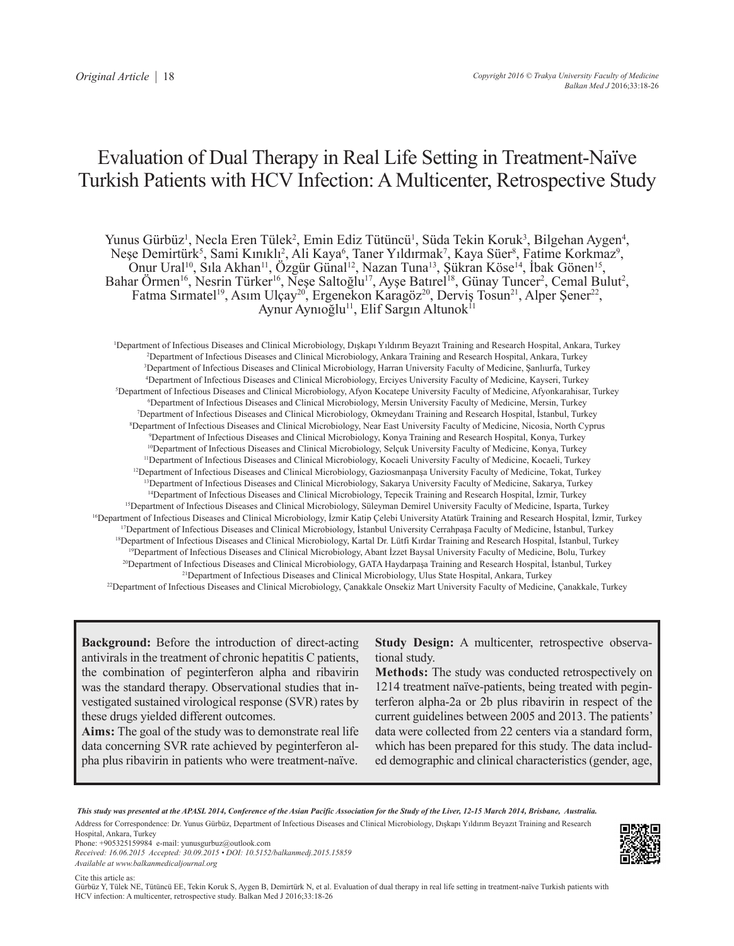# Evaluation of Dual Therapy in Real Life Setting in Treatment-Naïve Turkish Patients with HCV Infection: A Multicenter, Retrospective Study

Yunus Gürbüz<sup>ı</sup>, Necla Eren Tülek<sup>2</sup>, Emin Ediz Tütüncü<sup>ı</sup>, Süda Tekin Koruk<sup>3</sup>, Bilgehan Aygen<sup>4</sup>, Neşe Demirtürk<sup>5</sup>, Sami Kınıklı<sup>2</sup>, Ali Kaya<sup>6</sup>, Taner Yıldırmak<sup>7</sup>, Kaya Süer<sup>8</sup>, Fatime Korkmaz<sup>9</sup>, Onur Ural<sup>10</sup>, Sıla Akhan<sup>11</sup>, Özgür Günal<sup>12</sup>, Nazan Tuna<sup>13</sup>, Şükran Köse<sup>14</sup>, İbak Gönen<sup>15</sup>, Bahar Örmen<sup>16</sup>, Nesrin Türker<sup>16</sup>, Neşe Saltoğlu<sup>17</sup>, Ayşe Batırel<sup>18</sup>, Günay Tuncer<sup>2</sup>, Cemal Bulut<sup>2</sup>, Fatma Sırmatel<sup>19</sup>, Asım Ulçay<sup>20'</sup>, Ergenekon Karagöz<sup>20</sup>, Derviş Tosun<sup>21</sup>, Alper Şener<sup>22</sup>, Aynur Aynıoğlu<sup>11</sup>, Elif Sargın Altunok<sup>11</sup>

 Department of Infectious Diseases and Clinical Microbiology, Dışkapı Yıldırım Beyazıt Training and Research Hospital, Ankara, Turkey Department of Infectious Diseases and Clinical Microbiology, Ankara Training and Research Hospital, Ankara, Turkey Department of Infectious Diseases and Clinical Microbiology, Harran University Faculty of Medicine, Şanlıurfa, Turkey Department of Infectious Diseases and Clinical Microbiology, Erciyes University Faculty of Medicine, Kayseri, Turkey Department of Infectious Diseases and Clinical Microbiology, Afyon Kocatepe University Faculty of Medicine, Afyonkarahisar, Turkey Department of Infectious Diseases and Clinical Microbiology, Mersin University Faculty of Medicine, Mersin, Turkey Department of Infectious Diseases and Clinical Microbiology, Okmeydanı Training and Research Hospital, İstanbul, Turkey Department of Infectious Diseases and Clinical Microbiology, Near East University Faculty of Medicine, Nicosia, North Cyprus Department of Infectious Diseases and Clinical Microbiology, Konya Training and Research Hospital, Konya, Turkey 10Department of Infectious Diseases and Clinical Microbiology, Selçuk University Faculty of Medicine, Konya, Turkey 11Department of Infectious Diseases and Clinical Microbiology, Kocaeli University Faculty of Medicine, Kocaeli, Turkey <sup>12</sup>Department of Infectious Diseases and Clinical Microbiology, Gaziosmanpaşa University Faculty of Medicine, Tokat, Turkey 13Department of Infectious Diseases and Clinical Microbiology, Sakarya University Faculty of Medicine, Sakarya, Turkey Department of Infectious Diseases and Clinical Microbiology, Tepecik Training and Research Hospital, İzmir, Turkey <sup>15</sup>Department of Infectious Diseases and Clinical Microbiology, Süleyman Demirel University Faculty of Medicine, Isparta, Turkey Department of Infectious Diseases and Clinical Microbiology, İzmir Katip Çelebi University Atatürk Training and Research Hospital, İzmir, Turkey Department of Infectious Diseases and Clinical Microbiology, İstanbul University Cerrahpaşa Faculty of Medicine, İstanbul, Turkey Department of Infectious Diseases and Clinical Microbiology, Kartal Dr. Lütfi Kırdar Training and Research Hospital, İstanbul, Turkey Department of Infectious Diseases and Clinical Microbiology, Abant İzzet Baysal University Faculty of Medicine, Bolu, Turkey Department of Infectious Diseases and Clinical Microbiology, GATA Haydarpaşa Training and Research Hospital, İstanbul, Turkey <sup>21</sup>Department of Infectious Diseases and Clinical Microbiology, Ulus State Hospital, Ankara, Turkey Department of Infectious Diseases and Clinical Microbiology, Çanakkale Onsekiz Mart University Faculty of Medicine, Çanakkale, Turkey

**Background:** Before the introduction of direct-acting antivirals in the treatment of chronic hepatitis C patients, the combination of peginterferon alpha and ribavirin was the standard therapy. Observational studies that investigated sustained virological response (SVR) rates by these drugs yielded different outcomes.

**Aims:** The goal of the study was to demonstrate real life data concerning SVR rate achieved by peginterferon alpha plus ribavirin in patients who were treatment-naïve.

**Study Design:** A multicenter, retrospective observational study.

**Methods:** The study was conducted retrospectively on 1214 treatment naïve-patients, being treated with peginterferon alpha-2a or 2b plus ribavirin in respect of the current guidelines between 2005 and 2013. The patients' data were collected from 22 centers via a standard form, which has been prepared for this study. The data included demographic and clinical characteristics (gender, age,

 *This study was presented at the APASL 2014, Conference of the Asian Pacific Association for the Study of the Liver, 12-15 March 2014, Brisbane, Australia.*

Address for Correspondence: Dr. Yunus Gürbüz, Department of Infectious Diseases and Clinical Microbiology, Dışkapı Yıldırım Beyazıt Training and Research Hospital, Ankara, Turkey Phone: +905325159984 e-mail: yunusgurbuz@outlook.com

*Received: 16.06.2015 Accepted: 30.09.2015 • DOI: 10.5152/balkanmedj.2015.15859 Available at www.balkanmedicaljournal.org*

Cite this article as:

Gürbüz Y, Tülek NE, Tütüncü EE, Tekin Koruk S, Aygen B, Demirtürk N, et al. Evaluation of dual therapy in real life setting in treatment-naïve Turkish patients with HCV infection: A multicenter, retrospective study. Balkan Med J 2016;33:18-26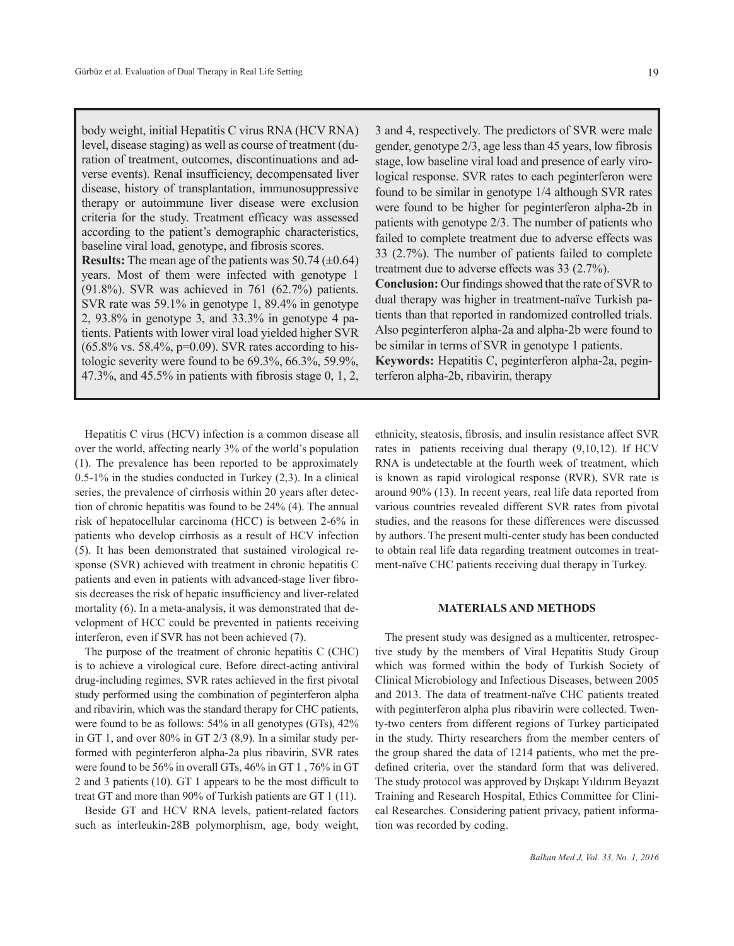body weight, initial Hepatitis C virus RNA (HCV RNA) level, disease staging) as well as course of treatment (duration of treatment, outcomes, discontinuations and adverse events). Renal insufficiency, decompensated liver disease, history of transplantation, immunosuppressive therapy or autoimmune liver disease were exclusion criteria for the study. Treatment efficacy was assessed according to the patient's demographic characteristics, baseline viral load, genotype, and fibrosis scores.

**Results:** The mean age of the patients was  $50.74 \ (\pm 0.64)$ years. Most of them were infected with genotype 1 (91.8%). SVR was achieved in 761 (62.7%) patients. SVR rate was 59.1% in genotype 1, 89.4% in genotype 2, 93.8% in genotype 3, and 33.3% in genotype 4 patients. Patients with lower viral load yielded higher SVR  $(65.8\% \text{ vs. } 58.4\%, \text{ p=0.09}).$  SVR rates according to histologic severity were found to be 69.3%, 66.3%, 59.9%, 47.3%, and 45.5% in patients with fibrosis stage 0, 1, 2,

Hepatitis C virus (HCV) infection is a common disease all over the world, affecting nearly 3% of the world's population (1). The prevalence has been reported to be approximately 0.5-1% in the studies conducted in Turkey (2,3). In a clinical series, the prevalence of cirrhosis within 20 years after detection of chronic hepatitis was found to be 24% (4). The annual risk of hepatocellular carcinoma (HCC) is between 2-6% in patients who develop cirrhosis as a result of HCV infection (5). It has been demonstrated that sustained virological response (SVR) achieved with treatment in chronic hepatitis C patients and even in patients with advanced-stage liver fibrosis decreases the risk of hepatic insufficiency and liver-related mortality (6). In a meta-analysis, it was demonstrated that development of HCC could be prevented in patients receiving interferon, even if SVR has not been achieved (7).

The purpose of the treatment of chronic hepatitis C (CHC) is to achieve a virological cure. Before direct-acting antiviral drug-including regimes, SVR rates achieved in the first pivotal study performed using the combination of peginterferon alpha and ribavirin, which was the standard therapy for CHC patients, were found to be as follows: 54% in all genotypes (GTs), 42% in GT 1, and over 80% in GT 2/3 (8,9). In a similar study performed with peginterferon alpha-2a plus ribavirin, SVR rates were found to be 56% in overall GTs, 46% in GT 1 , 76% in GT 2 and 3 patients (10). GT 1 appears to be the most difficult to treat GT and more than 90% of Turkish patients are GT 1 (11).

Beside GT and HCV RNA levels, patient-related factors such as interleukin-28B polymorphism, age, body weight, 3 and 4, respectively. The predictors of SVR were male gender, genotype 2/3, age less than 45 years, low fibrosis stage, low baseline viral load and presence of early virological response. SVR rates to each peginterferon were found to be similar in genotype 1/4 although SVR rates were found to be higher for peginterferon alpha-2b in patients with genotype 2/3. The number of patients who failed to complete treatment due to adverse effects was 33 (2.7%). The number of patients failed to complete treatment due to adverse effects was 33 (2.7%). **Conclusion:** Our findings showed that the rate of SVR to dual therapy was higher in treatment-naïve Turkish pa-

tients than that reported in randomized controlled trials. Also peginterferon alpha-2a and alpha-2b were found to be similar in terms of SVR in genotype 1 patients. **Keywords:** Hepatitis C, peginterferon alpha-2a, pegin-

terferon alpha-2b, ribavirin, therapy

ethnicity, steatosis, fibrosis, and insulin resistance affect SVR rates in patients receiving dual therapy (9,10,12). If HCV RNA is undetectable at the fourth week of treatment, which is known as rapid virological response (RVR), SVR rate is around 90% (13). In recent years, real life data reported from various countries revealed different SVR rates from pivotal studies, and the reasons for these differences were discussed by authors. The present multi-center study has been conducted to obtain real life data regarding treatment outcomes in treatment-naïve CHC patients receiving dual therapy in Turkey.

## **MATERIALS AND METHODS**

The present study was designed as a multicenter, retrospective study by the members of Viral Hepatitis Study Group which was formed within the body of Turkish Society of Clinical Microbiology and Infectious Diseases, between 2005 and 2013. The data of treatment-naïve CHC patients treated with peginterferon alpha plus ribavirin were collected. Twenty-two centers from different regions of Turkey participated in the study. Thirty researchers from the member centers of the group shared the data of 1214 patients, who met the predefined criteria, over the standard form that was delivered. The study protocol was approved by Dışkapı Yıldırım Beyazıt Training and Research Hospital, Ethics Committee for Clinical Researches. Considering patient privacy, patient information was recorded by coding.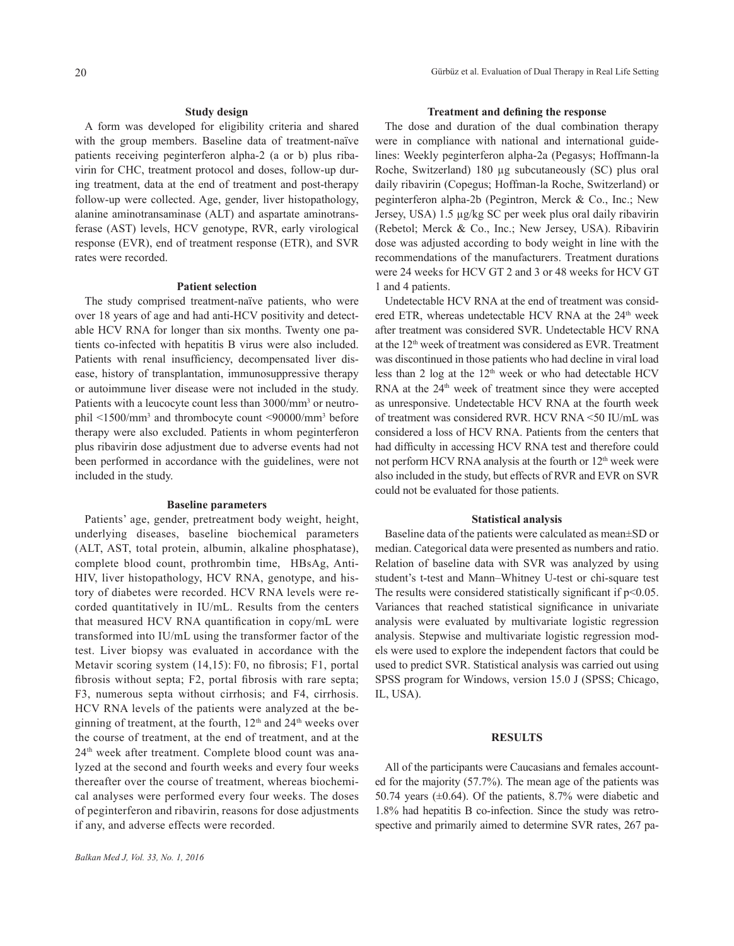## **Study design**

A form was developed for eligibility criteria and shared with the group members. Baseline data of treatment-naïve patients receiving peginterferon alpha-2 (a or b) plus ribavirin for CHC, treatment protocol and doses, follow-up during treatment, data at the end of treatment and post-therapy follow-up were collected. Age, gender, liver histopathology, alanine aminotransaminase (ALT) and aspartate aminotransferase (AST) levels, HCV genotype, RVR, early virological response (EVR), end of treatment response (ETR), and SVR rates were recorded.

## **Patient selection**

The study comprised treatment-naïve patients, who were over 18 years of age and had anti-HCV positivity and detectable HCV RNA for longer than six months. Twenty one patients co-infected with hepatitis B virus were also included. Patients with renal insufficiency, decompensated liver disease, history of transplantation, immunosuppressive therapy or autoimmune liver disease were not included in the study. Patients with a leucocyte count less than 3000/mm<sup>3</sup> or neutrophil <1500/mm3 and thrombocyte count <90000/mm3 before therapy were also excluded. Patients in whom peginterferon plus ribavirin dose adjustment due to adverse events had not been performed in accordance with the guidelines, were not included in the study.

## **Baseline parameters**

Patients' age, gender, pretreatment body weight, height, underlying diseases, baseline biochemical parameters (ALT, AST, total protein, albumin, alkaline phosphatase), complete blood count, prothrombin time, HBsAg, Anti-HIV, liver histopathology, HCV RNA, genotype, and history of diabetes were recorded. HCV RNA levels were recorded quantitatively in IU/mL. Results from the centers that measured HCV RNA quantification in copy/mL were transformed into IU/mL using the transformer factor of the test. Liver biopsy was evaluated in accordance with the Metavir scoring system (14,15): F0, no fibrosis; F1, portal fibrosis without septa; F2, portal fibrosis with rare septa; F3, numerous septa without cirrhosis; and F4, cirrhosis. HCV RNA levels of the patients were analyzed at the beginning of treatment, at the fourth,  $12<sup>th</sup>$  and  $24<sup>th</sup>$  weeks over the course of treatment, at the end of treatment, and at the 24th week after treatment. Complete blood count was analyzed at the second and fourth weeks and every four weeks thereafter over the course of treatment, whereas biochemical analyses were performed every four weeks. The doses of peginterferon and ribavirin, reasons for dose adjustments if any, and adverse effects were recorded.

#### **Treatment and defining the response**

The dose and duration of the dual combination therapy were in compliance with national and international guidelines: Weekly peginterferon alpha-2a (Pegasys; Hoffmann-la Roche, Switzerland) 180 µg subcutaneously (SC) plus oral daily ribavirin (Copegus; Hoffman-la Roche, Switzerland) or peginterferon alpha-2b (Pegintron, Merck & Co., Inc.; New Jersey, USA) 1.5 µg/kg SC per week plus oral daily ribavirin (Rebetol; Merck & Co., Inc.; New Jersey, USA). Ribavirin dose was adjusted according to body weight in line with the recommendations of the manufacturers. Treatment durations were 24 weeks for HCV GT 2 and 3 or 48 weeks for HCV GT 1 and 4 patients.

Undetectable HCV RNA at the end of treatment was considered ETR, whereas undetectable HCV RNA at the 24<sup>th</sup> week after treatment was considered SVR. Undetectable HCV RNA at the 12<sup>th</sup> week of treatment was considered as EVR. Treatment was discontinued in those patients who had decline in viral load less than 2 log at the  $12<sup>th</sup>$  week or who had detectable HCV RNA at the 24<sup>th</sup> week of treatment since they were accepted as unresponsive. Undetectable HCV RNA at the fourth week of treatment was considered RVR. HCV RNA <50 IU/mL was considered a loss of HCV RNA. Patients from the centers that had difficulty in accessing HCV RNA test and therefore could not perform HCV RNA analysis at the fourth or  $12<sup>th</sup>$  week were also included in the study, but effects of RVR and EVR on SVR could not be evaluated for those patients.

## **Statistical analysis**

Baseline data of the patients were calculated as mean±SD or median. Categorical data were presented as numbers and ratio. Relation of baseline data with SVR was analyzed by using student's t-test and Mann–Whitney U-test or chi-square test The results were considered statistically significant if  $p<0.05$ . Variances that reached statistical significance in univariate analysis were evaluated by multivariate logistic regression analysis. Stepwise and multivariate logistic regression models were used to explore the independent factors that could be used to predict SVR. Statistical analysis was carried out using SPSS program for Windows, version 15.0 J (SPSS; Chicago, IL, USA).

## **RESULTS**

All of the participants were Caucasians and females accounted for the majority (57.7%). The mean age of the patients was 50.74 years  $(\pm 0.64)$ . Of the patients, 8.7% were diabetic and 1.8% had hepatitis B co-infection. Since the study was retrospective and primarily aimed to determine SVR rates, 267 pa-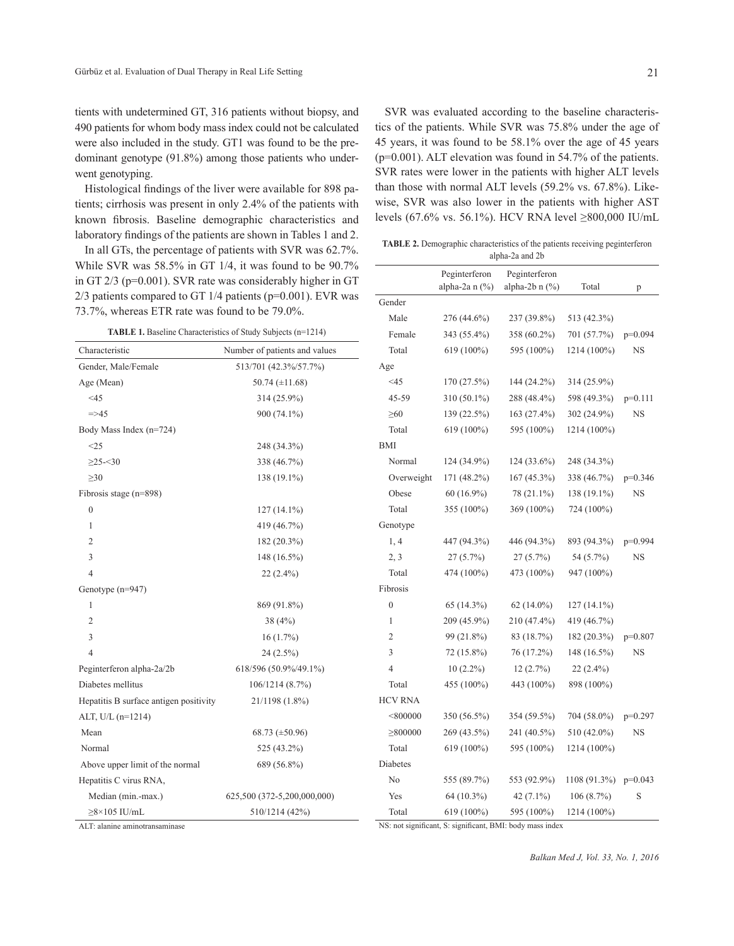tients with undetermined GT, 316 patients without biopsy, and 490 patients for whom body mass index could not be calculated were also included in the study. GT1 was found to be the predominant genotype (91.8%) among those patients who underwent genotyping.

Histological findings of the liver were available for 898 patients; cirrhosis was present in only 2.4% of the patients with known fibrosis. Baseline demographic characteristics and laboratory findings of the patients are shown in Tables 1 and 2.

In all GTs, the percentage of patients with SVR was 62.7%. While SVR was 58.5% in GT 1/4, it was found to be 90.7% in GT 2/3 (p=0.001). SVR rate was considerably higher in GT  $2/3$  patients compared to GT 1/4 patients (p=0.001). EVR was 73.7%, whereas ETR rate was found to be 79.0%.

| <b>TABLE 1.</b> Baseline Characteristics of Study Subjects (n=1214) |                               | Female               | 343  |
|---------------------------------------------------------------------|-------------------------------|----------------------|------|
| Characteristic                                                      | Number of patients and values | Total                | 619  |
| Gender, Male/Female                                                 | 513/701 (42.3%/57.7%)         | Age                  |      |
| Age (Mean)                                                          | 50.74 $(\pm 11.68)$           | $\leq$ 45            | 170  |
| $<$ 45                                                              | $314(25.9\%)$                 | 45-59                | 310  |
| $=>45$                                                              | 900 (74.1%)                   | $\geq 60$            | 139  |
| Body Mass Index (n=724)                                             |                               | Total                | 619  |
| <25                                                                 | 248 (34.3%)                   | $\operatorname{BMI}$ |      |
| $\geq$ 25-<30                                                       | 338 (46.7%)                   | Normal               | 124  |
| $\geq 30$                                                           | $138(19.1\%)$                 | Overweight           | 171  |
| Fibrosis stage (n=898)                                              |                               | Obese                | 60 ( |
| $\mathbf{0}$                                                        | $127(14.1\%)$                 | Total                | 355  |
| 1                                                                   | 419 (46.7%)                   | Genotype             |      |
| $\mathfrak{2}$                                                      | $182(20.3\%)$                 | 1, 4                 | 447  |
| 3                                                                   | $148(16.5\%)$                 | 2, 3                 | 27   |
| $\overline{4}$                                                      | $22(2.4\%)$                   | Total                | 474  |
| Genotype (n=947)                                                    |                               | Fibrosis             |      |
| $\mathbf{1}$                                                        | 869 (91.8%)                   | $\overline{0}$       | 65 ( |
| $\mathfrak{2}$                                                      | 38(4%)                        | $\mathbf{1}$         | 209  |
| 3                                                                   | $16(1.7\%)$                   | 2                    | 99 ( |
| 4                                                                   | $24(2.5\%)$                   | 3                    | 72 ( |
| Peginterferon alpha-2a/2b                                           | 618/596 (50.9%/49.1%)         | 4                    | 10   |
| Diabetes mellitus                                                   | 106/1214 (8.7%)               | Total                | 455  |
| Hepatitis B surface antigen positivity                              | 21/1198 (1.8%)                | <b>HCV RNA</b>       |      |
| ALT, U/L $(n=1214)$                                                 |                               | < 800000             | 350  |
| Mean                                                                | $68.73 \ (\pm 50.96)$         | $\geq 800000$        | 269  |
| Normal                                                              | 525 $(43.2\%)$                | Total                | 619  |
| Above upper limit of the normal                                     | 689 (56.8%)                   | Diabetes             |      |
| Hepatitis C virus RNA,                                              |                               | N <sub>0</sub>       | 555  |
| Median (min.-max.)                                                  | 625,500 (372-5,200,000,000)   | Yes                  | 64 ( |
| $\geq$ 8×105 IU/mL                                                  | 510/1214 (42%)                | Total                | 619  |
|                                                                     |                               |                      |      |

ALT: alanine aminotransaminase

NS: not significant, S: significant, BMI: body mass index

*Balkan Med J, Vol. 33, No. 1, 2016*

SVR was evaluated according to the baseline characteristics of the patients. While SVR was 75.8% under the age of 45 years, it was found to be 58.1% over the age of 45 years (p=0.001). ALT elevation was found in 54.7% of the patients. SVR rates were lower in the patients with higher ALT levels than those with normal ALT levels (59.2% vs. 67.8%). Likewise, SVR was also lower in the patients with higher AST levels (67.6% vs. 56.1%). HCV RNA level ≥800,000 IU/mL

**TABLE 2.** Demographic characteristics of the patients receiving peginterferon alpha-2a and 2b

|                | Peginterferon<br>alpha-2a n $(\%)$ | Peginterferon<br>alpha-2b $n$ $(\%)$ | Total        | p         |
|----------------|------------------------------------|--------------------------------------|--------------|-----------|
| Gender         |                                    |                                      |              |           |
| Male           | 276 (44.6%)                        | 237 (39.8%)                          | 513 (42.3%)  |           |
| Female         | 343 (55.4%)                        | 358 (60.2%)                          | 701 (57.7%)  | $p=0.094$ |
| Total          | $619(100\%)$                       | 595 (100%)                           | 1214 (100%)  | <b>NS</b> |
| Age            |                                    |                                      |              |           |
| <15            | 170 (27.5%)                        | 144 (24.2%)                          | 314 (25.9%)  |           |
| 45-59          | 310 (50.1%)                        | 288 (48.4%)                          | 598 (49.3%)  | $p=0.111$ |
| $\geq 60$      | 139 (22.5%)                        | 163 (27.4%)                          | 302 (24.9%)  | <b>NS</b> |
| Total          | 619 (100%)                         | 595 (100%)                           | 1214 (100%)  |           |
| <b>BMI</b>     |                                    |                                      |              |           |
| Normal         | 124 (34.9%)                        | 124 (33.6%)                          | 248 (34.3%)  |           |
| Overweight     | 171 (48.2%)                        | 167 (45.3%)                          | 338 (46.7%)  | $p=0.346$ |
| Obese          | $60(16.9\%)$                       | 78 (21.1%)                           | 138 (19.1%)  | NS        |
| Total          | 355 (100%)                         | 369 (100%)                           | 724 (100%)   |           |
| Genotype       |                                    |                                      |              |           |
| 1, 4           | 447 (94.3%)                        | 446 (94.3%)                          | 893 (94.3%)  | p=0.994   |
| 2, 3           | $27(5.7\%)$                        | $27(5.7\%)$                          | 54 (5.7%)    | <b>NS</b> |
| Total          | 474 (100%)                         | 473 (100%)                           | 947 (100%)   |           |
| Fibrosis       |                                    |                                      |              |           |
| $\overline{0}$ | $65(14.3\%)$                       | $62(14.0\%)$                         | 127 (14.1%)  |           |
| 1              | 209 (45.9%)                        | 210 (47.4%)                          | 419 (46.7%)  |           |
| 2              | 99 (21.8%)                         | 83 (18.7%)                           | 182 (20.3%)  | $p=0.807$ |
| 3              | 72 (15.8%)                         | 76 (17.2%)                           | 148 (16.5%)  | NS        |
| $\overline{4}$ | $10(2.2\%)$                        | 12(2.7%)                             | $22(2.4\%)$  |           |
| Total          | 455 (100%)                         | 443 (100%)                           | 898 (100%)   |           |
| <b>HCV RNA</b> |                                    |                                      |              |           |
| < 800000       | 350 (56.5%)                        | 354 (59.5%)                          | 704 (58.0%)  | $p=0.297$ |
| $\geq 800000$  | 269 (43.5%)                        | 241 (40.5%)                          | 510 (42.0%)  | <b>NS</b> |
| Total          | 619 (100%)                         | 595 (100%)                           | 1214 (100%)  |           |
| Diabetes       |                                    |                                      |              |           |
| N <sub>0</sub> | 555 (89.7%)                        | 553 (92.9%)                          | 1108 (91.3%) | $p=0.043$ |
| Yes            | 64 (10.3%)                         | $42(7.1\%)$                          | 106 (8.7%)   | S         |
| Total          | 619 (100%)                         | 595 (100%)                           | 1214 (100%)  |           |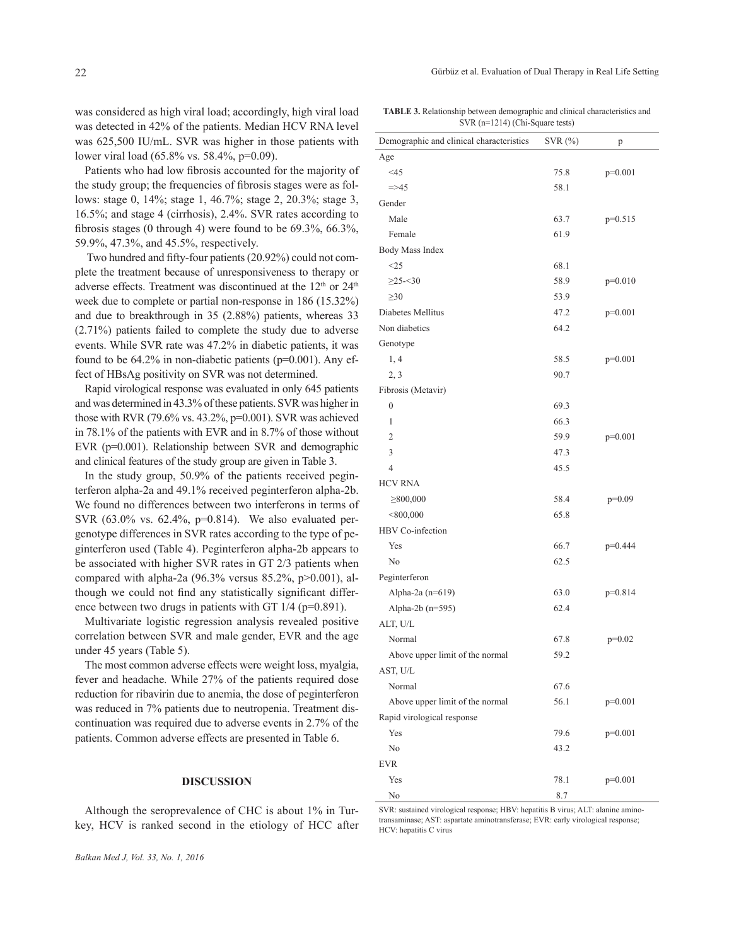was considered as high viral load; accordingly, high viral load was detected in 42% of the patients. Median HCV RNA level was 625,500 IU/mL. SVR was higher in those patients with lower viral load (65.8% vs. 58.4%, p=0.09).

Patients who had low fibrosis accounted for the majority of the study group; the frequencies of fibrosis stages were as follows: stage 0, 14%; stage 1, 46.7%; stage 2, 20.3%; stage 3, 16.5%; and stage 4 (cirrhosis), 2.4%. SVR rates according to fibrosis stages (0 through 4) were found to be 69.3%, 66.3%, 59.9%, 47.3%, and 45.5%, respectively.

 Two hundred and fifty-four patients (20.92%) could not complete the treatment because of unresponsiveness to therapy or adverse effects. Treatment was discontinued at the  $12<sup>th</sup>$  or  $24<sup>th</sup>$ week due to complete or partial non-response in 186 (15.32%) and due to breakthrough in 35 (2.88%) patients, whereas 33 (2.71%) patients failed to complete the study due to adverse events. While SVR rate was 47.2% in diabetic patients, it was found to be  $64.2\%$  in non-diabetic patients ( $p=0.001$ ). Any effect of HBsAg positivity on SVR was not determined.

Rapid virological response was evaluated in only 645 patients and was determined in 43.3% of these patients. SVR was higher in those with RVR (79.6% vs. 43.2%, p=0.001). SVR was achieved in 78.1% of the patients with EVR and in 8.7% of those without EVR (p=0.001). Relationship between SVR and demographic and clinical features of the study group are given in Table 3.

In the study group, 50.9% of the patients received peginterferon alpha-2a and 49.1% received peginterferon alpha-2b. We found no differences between two interferons in terms of SVR (63.0% vs. 62.4%, p=0.814). We also evaluated pergenotype differences in SVR rates according to the type of peginterferon used (Table 4). Peginterferon alpha-2b appears to be associated with higher SVR rates in GT 2/3 patients when compared with alpha-2a (96.3% versus 85.2%, p>0.001), although we could not find any statistically significant difference between two drugs in patients with GT 1/4 (p=0.891).

Multivariate logistic regression analysis revealed positive correlation between SVR and male gender, EVR and the age under 45 years (Table 5).

The most common adverse effects were weight loss, myalgia, fever and headache. While 27% of the patients required dose reduction for ribavirin due to anemia, the dose of peginterferon was reduced in 7% patients due to neutropenia. Treatment discontinuation was required due to adverse events in 2.7% of the patients. Common adverse effects are presented in Table 6.

#### **DISCUSSION**

Although the seroprevalence of CHC is about 1% in Turkey, HCV is ranked second in the etiology of HCC after

**TABLE 3.** Relationship between demographic and clinical characteristics and SVR (n=1214) (Chi-Square tests)

|                                          | - 100        |           |
|------------------------------------------|--------------|-----------|
| Demographic and clinical characteristics | $SVR$ $(\%)$ | p         |
| Age                                      |              |           |
| $<$ 45                                   | 75.8         | $p=0.001$ |
| $=>45$                                   | 58.1         |           |
| Gender                                   |              |           |
| Male                                     | 63.7         | $p=0.515$ |
| Female                                   | 61.9         |           |
| Body Mass Index                          |              |           |
| <25                                      | 68.1         |           |
| $\geq$ 25-<30                            | 58.9         | $p=0.010$ |
| $\geq 30$                                | 53.9         |           |
| Diabetes Mellitus                        | 47.2         | $p=0.001$ |
| Non diabetics                            | 64.2         |           |
| Genotype                                 |              |           |
| 1, 4                                     | 58.5         | $p=0.001$ |
| 2, 3                                     | 90.7         |           |
| Fibrosis (Metavir)                       |              |           |
| $\boldsymbol{0}$                         | 69.3         |           |
| 1                                        | 66.3         |           |
| $\overline{2}$                           | 59.9         | $p=0.001$ |
| 3                                        | 47.3         |           |
| $\overline{4}$                           | 45.5         |           |
| <b>HCV RNA</b>                           |              |           |
| $\geq 800,000$                           | 58.4         | $p=0.09$  |
| < 800,000                                | 65.8         |           |
| HBV Co-infection                         |              |           |
| Yes                                      | 66.7         | $p=0.444$ |
| No                                       | 62.5         |           |
| Peginterferon                            |              |           |
| Alpha-2a (n=619)                         | 63.0         | $p=0.814$ |
| Alpha-2b $(n=595)$                       | 62.4         |           |
| ALT, U/L                                 |              |           |
| Normal                                   | 67.8         | $p=0.02$  |
| Above upper limit of the normal          | 59.2         |           |
| AST, U/L                                 |              |           |
| Normal                                   | 67.6         |           |
| Above upper limit of the normal          | 56.1         | $p=0.001$ |
| Rapid virological response               |              |           |
| Yes                                      | 79.6         | $p=0.001$ |
| N <sub>0</sub>                           | 43.2         |           |
| <b>EVR</b>                               |              |           |
| Yes                                      | 78.1         | $p=0.001$ |
| No                                       | 8.7          |           |
|                                          |              |           |

SVR: sustained virological response; HBV: hepatitis B virus; ALT: alanine aminotransaminase; AST: aspartate aminotransferase; EVR: early virological response; HCV: hepatitis C virus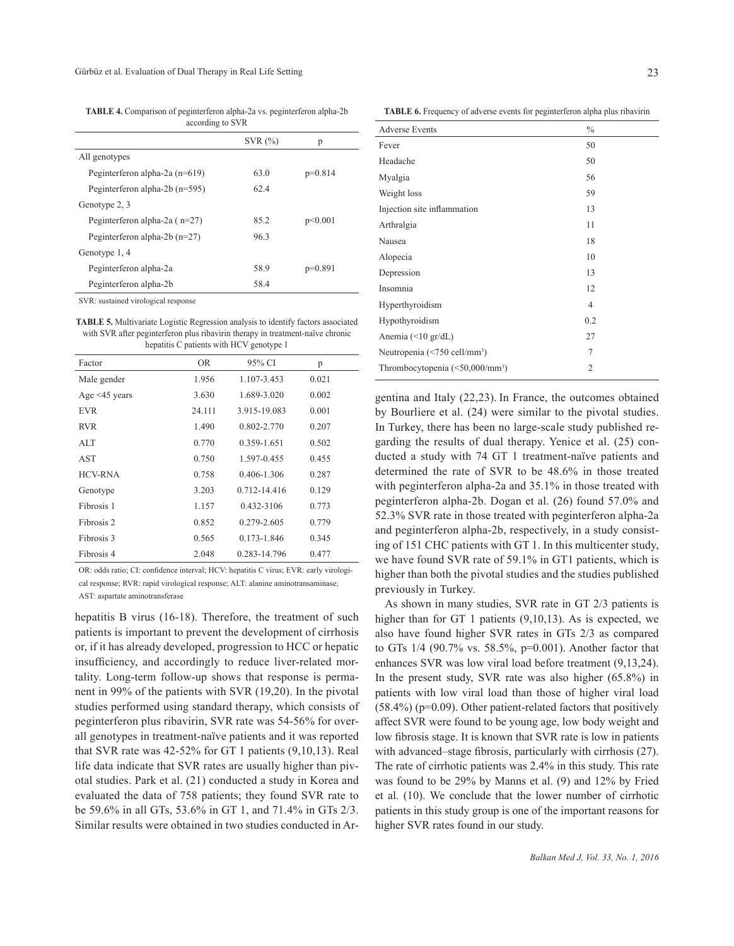**TABLE 4.** Comparison of peginterferon alpha-2a vs. peginterferon alpha-2b according to SVR

|                                  | $SVR$ $(\% )$ | р         |
|----------------------------------|---------------|-----------|
| All genotypes                    |               |           |
| Peginterferon alpha-2a $(n=619)$ | 63.0          | $p=0.814$ |
| Peginterferon alpha-2b $(n=595)$ | 62.4          |           |
| Genotype 2, 3                    |               |           |
| Peginterferon alpha-2a $(n=27)$  | 85.2          | p<0.001   |
| Peginterferon alpha-2b $(n=27)$  | 96.3          |           |
| Genotype 1, 4                    |               |           |
| Peginterferon alpha-2a           | 58.9          | $p=0.891$ |
| Peginterferon alpha-2b           | 58.4          |           |

SVR: sustained virological response

**TABLE 5.** Multivariate Logistic Regression analysis to identify factors associated with SVR after peginterferon plus ribavirin therapy in treatment-naïve chronic hepatitis C patients with HCV genotype 1

| Factor              | OR.    | 95% CI       | p     |
|---------------------|--------|--------------|-------|
| Male gender         | 1.956  | 1.107-3.453  | 0.021 |
| Age $\leq$ 45 years | 3.630  | 1.689-3.020  | 0.002 |
| <b>EVR</b>          | 24.111 | 3.915-19.083 | 0.001 |
| <b>RVR</b>          | 1.490  | 0.802-2.770  | 0.207 |
| ALT                 | 0.770  | 0.359-1.651  | 0.502 |
| AST                 | 0.750  | 1.597-0.455  | 0.455 |
| <b>HCV-RNA</b>      | 0.758  | 0.406-1.306  | 0.287 |
| Genotype            | 3.203  | 0.712-14.416 | 0.129 |
| Fibrosis 1          | 1.157  | 0.432-3106   | 0.773 |
| Fibrosis 2          | 0.852  | 0.279-2.605  | 0.779 |
| Fibrosis 3          | 0.565  | 0.173-1.846  | 0.345 |
| Fibrosis 4          | 2.048  | 0.283-14.796 | 0.477 |

OR: odds ratio; CI: confidence interval; HCV: hepatitis C virus; EVR: early virological response; RVR: rapid virological response; ALT: alanine aminotransaminase; AST: aspartate aminotransferase

hepatitis B virus (16-18). Therefore, the treatment of such patients is important to prevent the development of cirrhosis or, if it has already developed, progression to HCC or hepatic insufficiency, and accordingly to reduce liver-related mortality. Long-term follow-up shows that response is permanent in 99% of the patients with SVR (19,20). In the pivotal studies performed using standard therapy, which consists of peginterferon plus ribavirin, SVR rate was 54-56% for overall genotypes in treatment-naïve patients and it was reported that SVR rate was 42-52% for GT 1 patients (9,10,13). Real life data indicate that SVR rates are usually higher than pivotal studies. Park et al. (21) conducted a study in Korea and evaluated the data of 758 patients; they found SVR rate to be 59.6% in all GTs, 53.6% in GT 1, and 71.4% in GTs 2/3. Similar results were obtained in two studies conducted in Ar-

**TABLE 6.** Frequency of adverse events for peginterferon alpha plus ribavirin

| <b>Adverse Events</b>                       | $\frac{0}{0}$  |
|---------------------------------------------|----------------|
| Fever                                       | 50             |
| Headache                                    | 50             |
| Myalgia                                     | 56             |
| Weight loss                                 | 59             |
| Injection site inflammation                 | 13             |
| Arthralgia                                  | 11             |
| Nausea                                      | 18             |
| Alopecia                                    | 10             |
| Depression                                  | 13             |
| Insomnia                                    | 12             |
| Hyperthyroidism                             | 4              |
| Hypothyroidism                              | 0.2            |
| Anemia $(\leq 10 \text{ gr/dL})$            | 27             |
| Neutropenia (<750 cell/mm <sup>3</sup> )    | 7              |
| Thrombocytopenia (<50,000/mm <sup>3</sup> ) | $\overline{2}$ |

gentina and Italy (22,23). In France, the outcomes obtained by Bourliere et al. (24) were similar to the pivotal studies. In Turkey, there has been no large-scale study published regarding the results of dual therapy. Yenice et al. (25) conducted a study with 74 GT 1 treatment-naïve patients and determined the rate of SVR to be 48.6% in those treated with peginterferon alpha-2a and 35.1% in those treated with peginterferon alpha-2b. Dogan et al. (26) found 57.0% and 52.3% SVR rate in those treated with peginterferon alpha-2a and peginterferon alpha-2b, respectively, in a study consisting of 151 CHC patients with GT 1. In this multicenter study, we have found SVR rate of 59.1% in GT1 patients, which is higher than both the pivotal studies and the studies published previously in Turkey.

As shown in many studies, SVR rate in GT 2/3 patients is higher than for GT 1 patients (9,10,13). As is expected, we also have found higher SVR rates in GTs 2/3 as compared to GTs 1/4 (90.7% vs. 58.5%, p=0.001). Another factor that enhances SVR was low viral load before treatment (9,13,24). In the present study, SVR rate was also higher (65.8%) in patients with low viral load than those of higher viral load (58.4%) (p=0.09). Other patient-related factors that positively affect SVR were found to be young age, low body weight and low fibrosis stage. It is known that SVR rate is low in patients with advanced–stage fibrosis, particularly with cirrhosis (27). The rate of cirrhotic patients was 2.4% in this study. This rate was found to be 29% by Manns et al. (9) and 12% by Fried et al. (10). We conclude that the lower number of cirrhotic patients in this study group is one of the important reasons for higher SVR rates found in our study.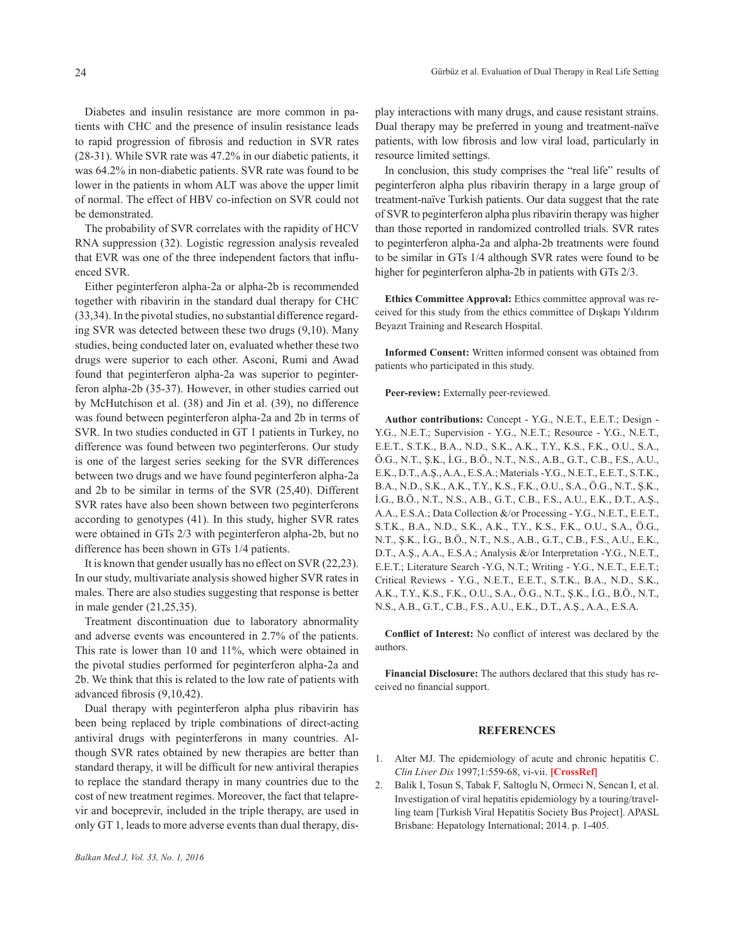Diabetes and insulin resistance are more common in patients with CHC and the presence of insulin resistance leads to rapid progression of fibrosis and reduction in SVR rates (28-31). While SVR rate was 47.2% in our diabetic patients, it was 64.2% in non-diabetic patients. SVR rate was found to be lower in the patients in whom ALT was above the upper limit of normal. The effect of HBV co-infection on SVR could not be demonstrated.

The probability of SVR correlates with the rapidity of HCV RNA suppression (32). Logistic regression analysis revealed that EVR was one of the three independent factors that influenced SVR.

Either peginterferon alpha-2a or alpha-2b is recommended together with ribavirin in the standard dual therapy for CHC (33,34). In the pivotal studies, no substantial difference regarding SVR was detected between these two drugs (9,10). Many studies, being conducted later on, evaluated whether these two drugs were superior to each other. Asconi, Rumi and Awad found that peginterferon alpha-2a was superior to peginterferon alpha-2b (35-37). However, in other studies carried out by McHutchison et al. (38) and Jin et al. (39), no difference was found between peginterferon alpha-2a and 2b in terms of SVR. In two studies conducted in GT 1 patients in Turkey, no difference was found between two peginterferons. Our study is one of the largest series seeking for the SVR differences between two drugs and we have found peginterferon alpha-2a and 2b to be similar in terms of the SVR (25,40). Different SVR rates have also been shown between two peginterferons according to genotypes (41). In this study, higher SVR rates were obtained in GTs 2/3 with peginterferon alpha-2b, but no difference has been shown in GTs 1/4 patients.

It is known that gender usually has no effect on SVR (22,23). In our study, multivariate analysis showed higher SVR rates in males. There are also studies suggesting that response is better in male gender (21,25,35).

Treatment discontinuation due to laboratory abnormality and adverse events was encountered in 2.7% of the patients. This rate is lower than 10 and 11%, which were obtained in the pivotal studies performed for peginterferon alpha-2a and 2b. We think that this is related to the low rate of patients with advanced fibrosis (9,10,42).

Dual therapy with peginterferon alpha plus ribavirin has been being replaced by triple combinations of direct-acting antiviral drugs with peginterferons in many countries. Although SVR rates obtained by new therapies are better than standard therapy, it will be difficult for new antiviral therapies to replace the standard therapy in many countries due to the cost of new treatment regimes. Moreover, the fact that telaprevir and boceprevir, included in the triple therapy, are used in only GT 1, leads to more adverse events than dual therapy, display interactions with many drugs, and cause resistant strains. Dual therapy may be preferred in young and treatment-naïve patients, with low fibrosis and low viral load, particularly in resource limited settings.

In conclusion, this study comprises the "real life" results of peginterferon alpha plus ribavirin therapy in a large group of treatment-naïve Turkish patients. Our data suggest that the rate of SVR to peginterferon alpha plus ribavirin therapy was higher than those reported in randomized controlled trials. SVR rates to peginterferon alpha-2a and alpha-2b treatments were found to be similar in GTs 1/4 although SVR rates were found to be higher for peginterferon alpha-2b in patients with GTs 2/3.

**Ethics Committee Approval:** Ethics committee approval was received for this study from the ethics committee of Dışkapı Yıldırım Beyazıt Training and Research Hospital.

**Informed Consent:** Written informed consent was obtained from patients who participated in this study.

## Peer-review: Externally peer-reviewed.

**Author contributions:** Concept - Y.G., N.E.T., E.E.T.; Design - Y.G., N.E.T.; Supervision - Y.G., N.E.T.; Resource - Y.G., N.E.T., E.E.T., S.T.K., B.A., N.D., S.K., A.K., T.Y., K.S., F.K., O.U., S.A., Ö.G., N.T., Ş.K., İ.G., B.Ö., N.T., N.S., A.B., G.T., C.B., F.S., A.U., E.K., D.T., A.Ş., A.A., E.S.A.; Materials -Y.G., N.E.T., E.E.T., S.T.K., B.A., N.D., S.K., A.K., T.Y., K.S., F.K., O.U., S.A., Ö.G., N.T., Ş.K., İ.G., B.Ö., N.T., N.S., A.B., G.T., C.B., F.S., A.U., E.K., D.T., A.Ş., A.A., E.S.A.; Data Collection &/or Processing - Y.G., N.E.T., E.E.T., S.T.K., B.A., N.D., S.K., A.K., T.Y., K.S., F.K., O.U., S.A., Ö.G., N.T., Ş.K., İ.G., B.Ö., N.T., N.S., A.B., G.T., C.B., F.S., A.U., E.K., D.T., A.Ş., A.A., E.S.A.; Analysis &/or Interpretation -Y.G., N.E.T., E.E.T.; Literature Search -Y.G, N.T.; Writing - Y.G., N.E.T., E.E.T.; Critical Reviews - Y.G., N.E.T., E.E.T., S.T.K., B.A., N.D., S.K., A.K., T.Y., K.S., F.K., O.U., S.A., Ö.G., N.T., Ş.K., İ.G., B.Ö., N.T., N.S., A.B., G.T., C.B., F.S., A.U., E.K., D.T., A.Ş., A.A., E.S.A.

**Conflict of Interest:** No conflict of interest was declared by the authors.

**Financial Disclosure:** The authors declared that this study has received no financial support.

# **REFERENCES**

- 1. Alter MJ. The epidemiology of acute and chronic hepatitis C. *Clin Liver Dis* 1997;1:559-68, vi-vii. **[CrossRef]**
- 2. Balik I, Tosun S, Tabak F, Saltoglu N, Ormeci N, Sencan I, et al. Investigation of viral hepatitis epidemiology by a touring/travelling team [Turkish Viral Hepatitis Society Bus Project]. APASL Brisbane: Hepatology International; 2014. p. 1-405.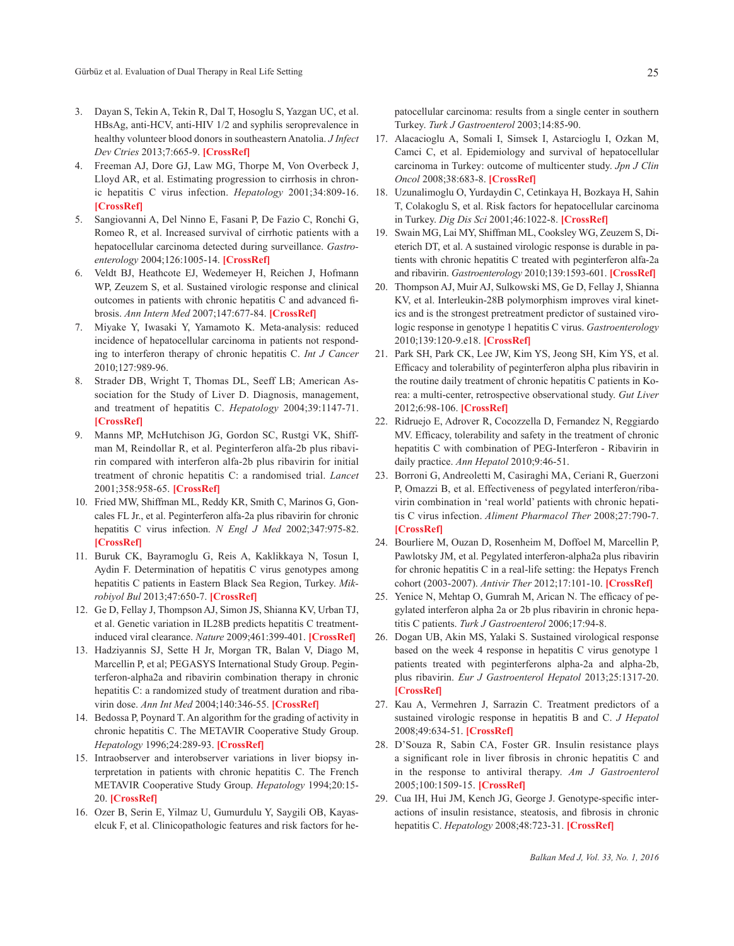- 3. Dayan S, Tekin A, Tekin R, Dal T, Hosoglu S, Yazgan UC, et al. HBsAg, anti-HCV, anti-HIV 1/2 and syphilis seroprevalence in healthy volunteer blood donors in southeastern Anatolia. *J Infect Dev Ctries* 2013;7:665-9. **[CrossRef]**
- 4. Freeman AJ, Dore GJ, Law MG, Thorpe M, Von Overbeck J, Lloyd AR, et al. Estimating progression to cirrhosis in chronic hepatitis C virus infection. *Hepatology* 2001;34:809-16. **[CrossRef]**
- 5. Sangiovanni A, Del Ninno E, Fasani P, De Fazio C, Ronchi G, Romeo R, et al. Increased survival of cirrhotic patients with a hepatocellular carcinoma detected during surveillance. *Gastroenterology* 2004;126:1005-14. **[CrossRef]**
- 6. Veldt BJ, Heathcote EJ, Wedemeyer H, Reichen J, Hofmann WP, Zeuzem S, et al. Sustained virologic response and clinical outcomes in patients with chronic hepatitis C and advanced fibrosis. *Ann Intern Med* 2007;147:677-84. **[CrossRef]**
- 7. Miyake Y, Iwasaki Y, Yamamoto K. Meta-analysis: reduced incidence of hepatocellular carcinoma in patients not responding to interferon therapy of chronic hepatitis C. *Int J Cancer* 2010;127:989-96.
- Strader DB, Wright T, Thomas DL, Seeff LB; American Association for the Study of Liver D. Diagnosis, management, and treatment of hepatitis C. *Hepatology* 2004;39:1147-71. **[CrossRef]**
- 9. Manns MP, McHutchison JG, Gordon SC, Rustgi VK, Shiffman M, Reindollar R, et al. Peginterferon alfa-2b plus ribavirin compared with interferon alfa-2b plus ribavirin for initial treatment of chronic hepatitis C: a randomised trial. *Lancet*  2001;358:958-65. **[CrossRef]**
- 10. Fried MW, Shiffman ML, Reddy KR, Smith C, Marinos G, Goncales FL Jr., et al. Peginterferon alfa-2a plus ribavirin for chronic hepatitis C virus infection. *N Engl J Med* 2002;347:975-82. **[CrossRef]**
- 11. Buruk CK, Bayramoglu G, Reis A, Kaklikkaya N, Tosun I, Aydin F. Determination of hepatitis C virus genotypes among hepatitis C patients in Eastern Black Sea Region, Turkey. *Mikrobiyol Bul* 2013;47:650-7. **[CrossRef]**
- 12. Ge D, Fellay J, Thompson AJ, Simon JS, Shianna KV, Urban TJ, et al. Genetic variation in IL28B predicts hepatitis C treatmentinduced viral clearance. *Nature* 2009;461:399-401. **[CrossRef]**
- 13. Hadziyannis SJ, Sette H Jr, Morgan TR, Balan V, Diago M, Marcellin P, et al; PEGASYS International Study Group. Peginterferon-alpha2a and ribavirin combination therapy in chronic hepatitis C: a randomized study of treatment duration and ribavirin dose. *Ann Int Med* 2004;140:346-55. **[CrossRef]**
- 14. Bedossa P, Poynard T. An algorithm for the grading of activity in chronic hepatitis C. The METAVIR Cooperative Study Group. *Hepatology* 1996;24:289-93. **[CrossRef]**
- 15. Intraobserver and interobserver variations in liver biopsy interpretation in patients with chronic hepatitis C. The French METAVIR Cooperative Study Group. *Hepatology* 1994;20:15- 20. **[CrossRef]**
- 16. Ozer B, Serin E, Yilmaz U, Gumurdulu Y, Saygili OB, Kayaselcuk F, et al. Clinicopathologic features and risk factors for he-

patocellular carcinoma: results from a single center in southern Turkey. *Turk J Gastroenterol* 2003;14:85-90.

- 17. Alacacioglu A, Somali I, Simsek I, Astarcioglu I, Ozkan M, Camci C, et al. Epidemiology and survival of hepatocellular carcinoma in Turkey: outcome of multicenter study. *Jpn J Clin Oncol* 2008;38:683-8. **[CrossRef]**
- 18. Uzunalimoglu O, Yurdaydin C, Cetinkaya H, Bozkaya H, Sahin T, Colakoglu S, et al. Risk factors for hepatocellular carcinoma in Turkey. *Dig Dis Sci* 2001;46:1022-8. **[CrossRef]**
- 19. Swain MG, Lai MY, Shiffman ML, Cooksley WG, Zeuzem S, Dieterich DT, et al. A sustained virologic response is durable in patients with chronic hepatitis C treated with peginterferon alfa-2a and ribavirin. *Gastroenterology* 2010;139:1593-601. **[CrossRef]**
- 20. Thompson AJ, Muir AJ, Sulkowski MS, Ge D, Fellay J, Shianna KV, et al. Interleukin-28B polymorphism improves viral kinetics and is the strongest pretreatment predictor of sustained virologic response in genotype 1 hepatitis C virus. *Gastroenterology* 2010;139:120-9.e18. **[CrossRef]**
- 21. Park SH, Park CK, Lee JW, Kim YS, Jeong SH, Kim YS, et al. Efficacy and tolerability of peginterferon alpha plus ribavirin in the routine daily treatment of chronic hepatitis C patients in Korea: a multi-center, retrospective observational study. *Gut Liver* 2012;6:98-106. **[CrossRef]**
- 22. Ridruejo E, Adrover R, Cocozzella D, Fernandez N, Reggiardo MV. Efficacy, tolerability and safety in the treatment of chronic hepatitis C with combination of PEG-Interferon - Ribavirin in daily practice. *Ann Hepatol* 2010;9:46-51.
- 23. Borroni G, Andreoletti M, Casiraghi MA, Ceriani R, Guerzoni P, Omazzi B, et al. Effectiveness of pegylated interferon/ribavirin combination in 'real world' patients with chronic hepatitis C virus infection. *Aliment Pharmacol Ther* 2008;27:790-7. **[CrossRef]**
- 24. Bourliere M, Ouzan D, Rosenheim M, Doffoel M, Marcellin P, Pawlotsky JM, et al. Pegylated interferon-alpha2a plus ribavirin for chronic hepatitis C in a real-life setting: the Hepatys French cohort (2003-2007). *Antivir Ther* 2012;17:101-10. **[CrossRef]**
- 25. Yenice N, Mehtap O, Gumrah M, Arican N. The efficacy of pegylated interferon alpha 2a or 2b plus ribavirin in chronic hepatitis C patients. *Turk J Gastroenterol* 2006;17:94-8.
- 26. Dogan UB, Akin MS, Yalaki S. Sustained virological response based on the week 4 response in hepatitis C virus genotype 1 patients treated with peginterferons alpha-2a and alpha-2b, plus ribavirin. *Eur J Gastroenterol Hepatol* 2013;25:1317-20. **[CrossRef]**
- 27. Kau A, Vermehren J, Sarrazin C. Treatment predictors of a sustained virologic response in hepatitis B and C. *J Hepatol* 2008;49:634-51. **[CrossRef]**
- 28. D'Souza R, Sabin CA, Foster GR. Insulin resistance plays a significant role in liver fibrosis in chronic hepatitis C and in the response to antiviral therapy. *Am J Gastroenterol* 2005;100:1509-15. **[CrossRef]**
- 29. Cua IH, Hui JM, Kench JG, George J. Genotype-specific interactions of insulin resistance, steatosis, and fibrosis in chronic hepatitis C. *Hepatology* 2008;48:723-31. **[CrossRef]**

*Balkan Med J, Vol. 33, No. 1, 2016*